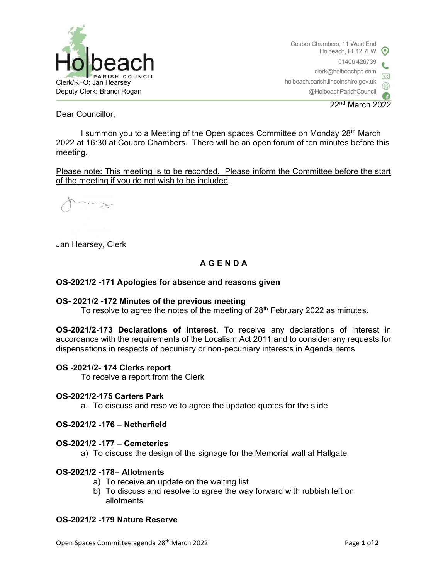

Coubro Chambers, 11 West End Holbeach, PE12 7LW 01406 426739 clerk@holbeachpc.com holbeach.parish.lincolnshire.gov.uk @HolbeachParishCouncil

22nd March 2022

Dear Councillor,

I summon you to a Meeting of the Open spaces Committee on Monday 28<sup>th</sup> March 2022 at 16:30 at Coubro Chambers. There will be an open forum of ten minutes before this meeting.

Please note: This meeting is to be recorded. Please inform the Committee before the start of the meeting if you do not wish to be included.

 $\gtrsim$ 

Jan Hearsey, Clerk

# A G E N D A

### OS-2021/2 -171 Apologies for absence and reasons given

#### OS- 2021/2 -172 Minutes of the previous meeting

To resolve to agree the notes of the meeting of 28<sup>th</sup> February 2022 as minutes.

OS-2021/2-173 Declarations of interest. To receive any declarations of interest in accordance with the requirements of the Localism Act 2011 and to consider any requests for dispensations in respects of pecuniary or non-pecuniary interests in Agenda items

#### OS -2021/2- 174 Clerks report

To receive a report from the Clerk

#### OS-2021/2-175 Carters Park

a. To discuss and resolve to agree the updated quotes for the slide

#### OS-2021/2 -176 – Netherfield

#### OS-2021/2 -177 – Cemeteries

a) To discuss the design of the signage for the Memorial wall at Hallgate

#### OS-2021/2 -178– Allotments

- a) To receive an update on the waiting list
- b) To discuss and resolve to agree the way forward with rubbish left on allotments

### OS-2021/2 -179 Nature Reserve